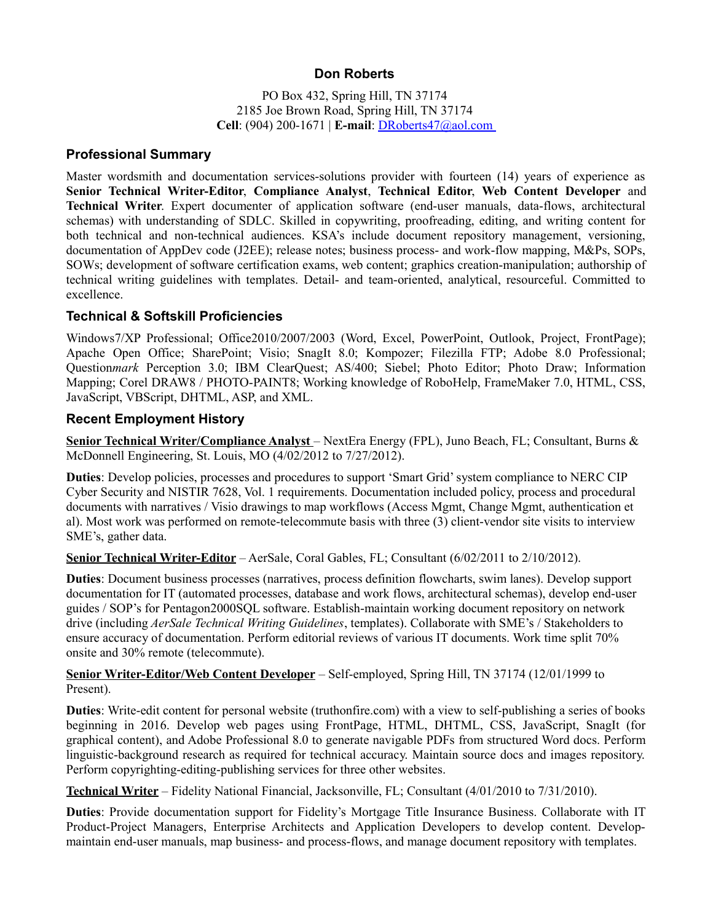# **Don Roberts**

PO Box 432, Spring Hill, TN 37174 2185 Joe Brown Road, Spring Hill, TN 37174 **Cell**: (904) 200-1671 | **E-mail**: DRoberts47@aol.com

### **Professional Summary**

Master wordsmith and documentation services-solutions provider with fourteen (14) years of experience as **Senior Technical Writer-Editor**, **Compliance Analyst**, **Technical Editor**, **Web Content Developer** and **Technical Writer**. Expert documenter of application software (end-user manuals, data-flows, architectural schemas) with understanding of SDLC. Skilled in copywriting, proofreading, editing, and writing content for both technical and non-technical audiences. KSA's include document repository management, versioning, documentation of AppDev code (J2EE); release notes; business process- and work-flow mapping, M&Ps, SOPs, SOWs; development of software certification exams, web content; graphics creation-manipulation; authorship of technical writing guidelines with templates. Detail- and team-oriented, analytical, resourceful. Committed to excellence.

## **Technical & Softskill Proficiencies**

Windows7/XP Professional; Office2010/2007/2003 (Word, Excel, PowerPoint, Outlook, Project, FrontPage); Apache Open Office; SharePoint; Visio; SnagIt 8.0; Kompozer; Filezilla FTP; Adobe 8.0 Professional; Question*mark* Perception 3.0; IBM ClearQuest; AS/400; Siebel; Photo Editor; Photo Draw; Information Mapping; Corel DRAW8 / PHOTO-PAINT8; Working knowledge of RoboHelp, FrameMaker 7.0, HTML, CSS, JavaScript, VBScript, DHTML, ASP, and XML.

## **Recent Employment History**

**Senior Technical Writer/Compliance Analyst** – NextEra Energy (FPL), Juno Beach, FL; Consultant, Burns & McDonnell Engineering, St. Louis, MO (4/02/2012 to 7/27/2012).

**Duties**: Develop policies, processes and procedures to support 'Smart Grid' system compliance to NERC CIP Cyber Security and NISTIR 7628, Vol. 1 requirements. Documentation included policy, process and procedural documents with narratives / Visio drawings to map workflows (Access Mgmt, Change Mgmt, authentication et al). Most work was performed on remote-telecommute basis with three (3) client-vendor site visits to interview SME's, gather data.

**Senior Technical Writer-Editor** – AerSale, Coral Gables, FL; Consultant (6/02/2011 to 2/10/2012).

**Duties**: Document business processes (narratives, process definition flowcharts, swim lanes). Develop support documentation for IT (automated processes, database and work flows, architectural schemas), develop end-user guides / SOP's for Pentagon2000SQL software. Establish-maintain working document repository on network drive (including *AerSale Technical Writing Guidelines*, templates). Collaborate with SME's / Stakeholders to ensure accuracy of documentation. Perform editorial reviews of various IT documents. Work time split 70% onsite and 30% remote (telecommute).

## **Senior Writer-Editor/Web Content Developer** – Self-employed, Spring Hill, TN 37174 (12/01/1999 to Present).

**Duties**: Write-edit content for personal website (truthonfire.com) with a view to self-publishing a series of books beginning in 2016. Develop web pages using FrontPage, HTML, DHTML, CSS, JavaScript, SnagIt (for graphical content), and Adobe Professional 8.0 to generate navigable PDFs from structured Word docs. Perform linguistic-background research as required for technical accuracy. Maintain source docs and images repository. Perform copyrighting-editing-publishing services for three other websites.

**Technical Writer** – Fidelity National Financial, Jacksonville, FL; Consultant (4/01/2010 to 7/31/2010).

**Duties**: Provide documentation support for Fidelity's Mortgage Title Insurance Business. Collaborate with IT Product-Project Managers, Enterprise Architects and Application Developers to develop content. Developmaintain end-user manuals, map business- and process-flows, and manage document repository with templates.